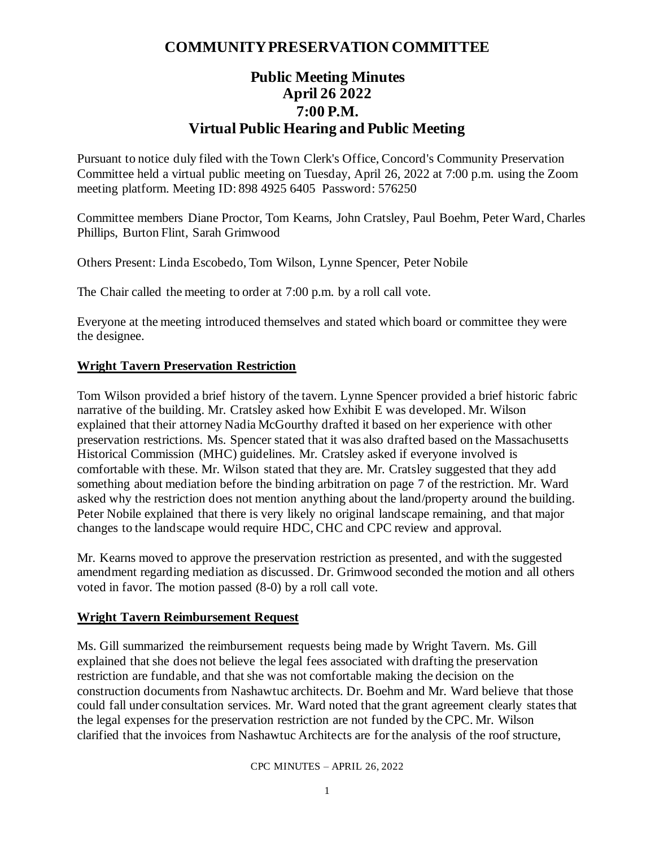# **COMMUNITY PRESERVATION COMMITTEE**

## **Public Meeting Minutes April 26 2022 7:00 P.M. Virtual Public Hearing and Public Meeting**

Pursuant to notice duly filed with the Town Clerk's Office, Concord's Community Preservation Committee held a virtual public meeting on Tuesday, April 26, 2022 at 7:00 p.m. using the Zoom meeting platform. Meeting ID: 898 4925 6405 Password: 576250

Committee members Diane Proctor, Tom Kearns, John Cratsley, Paul Boehm, Peter Ward, Charles Phillips, Burton Flint, Sarah Grimwood

Others Present: Linda Escobedo, Tom Wilson, Lynne Spencer, Peter Nobile

The Chair called the meeting to order at 7:00 p.m. by a roll call vote.

Everyone at the meeting introduced themselves and stated which board or committee they were the designee.

### **Wright Tavern Preservation Restriction**

Tom Wilson provided a brief history of the tavern. Lynne Spencer provided a brief historic fabric narrative of the building. Mr. Cratsley asked how Exhibit E was developed. Mr. Wilson explained that their attorney Nadia McGourthy drafted it based on her experience with other preservation restrictions. Ms. Spencer stated that it was also drafted based on the Massachusetts Historical Commission (MHC) guidelines. Mr. Cratsley asked if everyone involved is comfortable with these. Mr. Wilson stated that they are. Mr. Cratsley suggested that they add something about mediation before the binding arbitration on page 7 of the restriction. Mr. Ward asked why the restriction does not mention anything about the land/property around the building. Peter Nobile explained that there is very likely no original landscape remaining, and that major changes to the landscape would require HDC, CHC and CPC review and approval.

Mr. Kearns moved to approve the preservation restriction as presented, and with the suggested amendment regarding mediation as discussed. Dr. Grimwood seconded the motion and all others voted in favor. The motion passed (8-0) by a roll call vote.

### **Wright Tavern Reimbursement Request**

Ms. Gill summarized the reimbursement requests being made by Wright Tavern. Ms. Gill explained that she does not believe the legal fees associated with drafting the preservation restriction are fundable, and that she was not comfortable making the decision on the construction documents from Nashawtuc architects. Dr. Boehm and Mr. Ward believe that those could fall under consultation services. Mr. Ward noted that the grant agreement clearly states that the legal expenses for the preservation restriction are not funded by the CPC. Mr. Wilson clarified that the invoices from Nashawtuc Architects are for the analysis of the roof structure,

CPC MINUTES – APRIL 26, 2022